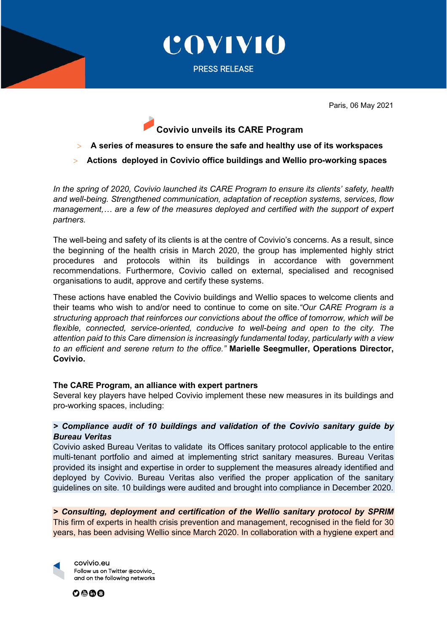

COVIVIO

PRESS RELEASE

Paris, 06 May 2021

# **Covivio unveils its CARE Program**

- > **A series of measures to ensure the safe and healthy use of its workspaces**
- > **Actions deployed in Covivio office buildings and Wellio pro-working spaces**

*In the spring of 2020, Covivio launched its CARE Program to ensure its clients' safety, health and well-being. Strengthened communication, adaptation of reception systems, services, flow management,… are a few of the measures deployed and certified with the support of expert partners.* 

The well-being and safety of its clients is at the centre of Covivio's concerns. As a result, since the beginning of the health crisis in March 2020, the group has implemented highly strict procedures and protocols within its buildings in accordance with government recommendations. Furthermore, Covivio called on external, specialised and recognised organisations to audit, approve and certify these systems.

These actions have enabled the Covivio buildings and Wellio spaces to welcome clients and their teams who wish to and/or need to continue to come on site.*"Our CARE Program is a structuring approach that reinforces our convictions about the office of tomorrow, which will be flexible, connected, service-oriented, conducive to well-being and open to the city. The attention paid to this Care dimension is increasingly fundamental today, particularly with a view to an efficient and serene return to the office."* **Marielle Seegmuller, Operations Director, Covivio.**

### **The CARE Program, an alliance with expert partners**

Several key players have helped Covivio implement these new measures in its buildings and pro-working spaces, including:

# *> Compliance audit of 10 buildings and validation of the Covivio sanitary guide by Bureau Veritas*

Covivio asked Bureau Veritas to validate its Offices sanitary protocol applicable to the entire multi-tenant portfolio and aimed at implementing strict sanitary measures. Bureau Veritas provided its insight and expertise in order to supplement the measures already identified and deployed by Covivio. Bureau Veritas also verified the proper application of the sanitary guidelines on site. 10 buildings were audited and brought into compliance in December 2020.

*> Consulting, deployment and certification of the Wellio sanitary protocol by SPRIM* This firm of experts in health crisis prevention and management, recognised in the field for 30 years, has been advising Wellio since March 2020. In collaboration with a hygiene expert and

covivio.eu Follow us on Twitter @covivio\_ and on the following networks

 $0@@@$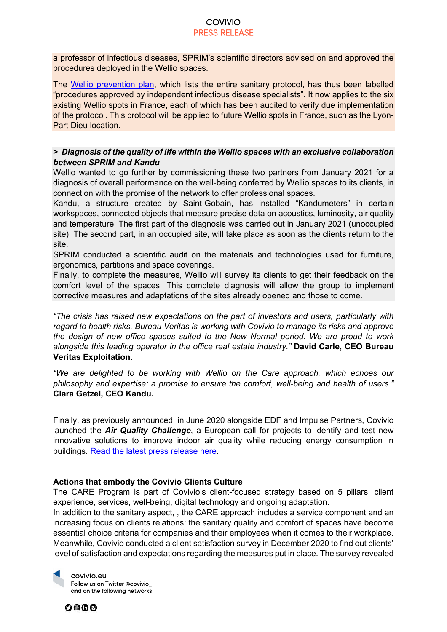#### COVIVIO PRESS RELEASE

a professor of infectious diseases, SPRIM's scientific directors advised on and approved the procedures deployed in the Wellio spaces.

The [Wellio prevention plan,](https://wellio.com/fr/safe-pro-worker-program/) which lists the entire sanitary protocol, has thus been labelled "procedures approved by independent infectious disease specialists". It now applies to the six existing Wellio spots in France, each of which has been audited to verify due implementation of the protocol. This protocol will be applied to future Wellio spots in France, such as the Lyon-Part Dieu location.

# **>** *Diagnosis of the quality of life within the Wellio spaces with an exclusive collaboration between SPRIM and Kandu*

Wellio wanted to go further by commissioning these two partners from January 2021 for a diagnosis of overall performance on the well-being conferred by Wellio spaces to its clients, in connection with the promise of the network to offer professional spaces.

Kandu, a structure created by Saint-Gobain, has installed "Kandumeters" in certain workspaces, connected objects that measure precise data on acoustics, luminosity, air quality and temperature. The first part of the diagnosis was carried out in January 2021 (unoccupied site). The second part, in an occupied site, will take place as soon as the clients return to the site.

SPRIM conducted a scientific audit on the materials and technologies used for furniture, ergonomics, partitions and space coverings.

Finally, to complete the measures, Wellio will survey its clients to get their feedback on the comfort level of the spaces. This complete diagnosis will allow the group to implement corrective measures and adaptations of the sites already opened and those to come.

*"The crisis has raised new expectations on the part of investors and users, particularly with regard to health risks. Bureau Veritas is working with Covivio to manage its risks and approve the design of new office spaces suited to the New Normal period. We are proud to work alongside this leading operator in the office real estate industry."* **David Carle, CEO Bureau Veritas Exploitation.**

*"We are delighted to be working with Wellio on the Care approach, which echoes our philosophy and expertise: a promise to ensure the comfort, well-being and health of users."*  **Clara Getzel, CEO Kandu.**

Finally, as previously announced, in June 2020 alongside EDF and Impulse Partners, Covivio launched the *Air Quality Challenge*, a European call for projects to identify and test new innovative solutions to improve indoor air quality while reducing energy consumption in buildings. [Read the latest press release here.](https://www.covivio.eu/en/wp-content/uploads/sites/3/2020/06/PR_Air-Quality-Challenge.pdf)

### **Actions that embody the Covivio Clients Culture**

The CARE Program is part of Covivio's client-focused strategy based on 5 pillars: client experience, services, well-being, digital technology and ongoing adaptation.

In addition to the sanitary aspect, , the CARE approach includes a service component and an increasing focus on clients relations: the sanitary quality and comfort of spaces have become essential choice criteria for companies and their employees when it comes to their workplace. Meanwhile, Covivio conducted a client satisfaction survey in December 2020 to find out clients' level of satisfaction and expectations regarding the measures put in place. The survey revealed



0000